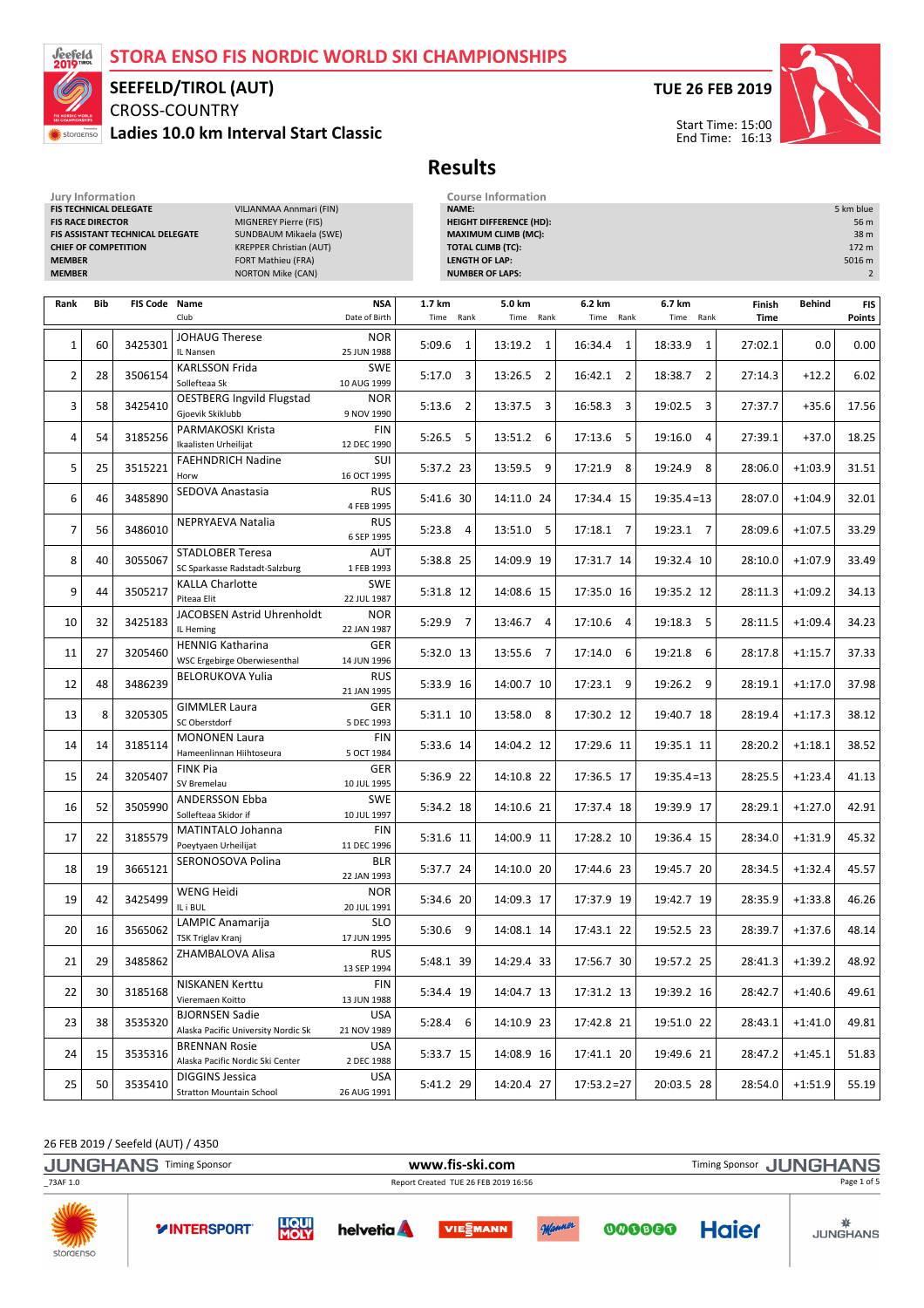## STORA ENSO FIS NORDIC WORLD SKI CHAMPIONSHIPS



## SEEFELD/TIROL (AUT)

CROSS-COUNTRY Ladies 10.0 km Interval Start Classic



Start Time: 15:00 End Time: 16:13



Results

| Jury Information<br>FIS TECHNICAL DELEGATE<br>VILJANMAA Annmari (FIN)<br><b>FIS RACE DIRECTOR</b><br><b>MIGNEREY Pierre (FIS)</b><br>FIS ASSISTANT TECHNICAL DELEGATE<br>SUNDBAUM Mikaela (SWE)<br><b>CHIEF OF COMPETITION</b><br><b>KREPPER Christian (AUT)</b><br><b>MEMBER</b><br>FORT Mathieu (FRA)<br><b>MEMBER</b><br><b>NORTON Mike (CAN)</b> |     |               |                                                              |                             | NAME:      | <b>Course Information</b><br><b>HEIGHT DIFFERENCE (HD):</b><br><b>MAXIMUM CLIMB (MC):</b><br><b>TOTAL CLIMB (TC):</b><br><b>LENGTH OF LAP:</b><br><b>NUMBER OF LAPS:</b> |                           |                           |                           |                | 5 km blue<br>56 m<br>38 m<br>172 m<br>5016 m<br>$\overline{2}$ |                             |
|------------------------------------------------------------------------------------------------------------------------------------------------------------------------------------------------------------------------------------------------------------------------------------------------------------------------------------------------------|-----|---------------|--------------------------------------------------------------|-----------------------------|------------|--------------------------------------------------------------------------------------------------------------------------------------------------------------------------|---------------------------|---------------------------|---------------------------|----------------|----------------------------------------------------------------|-----------------------------|
| Rank                                                                                                                                                                                                                                                                                                                                                 | Bib | FIS Code Name | Club                                                         | <b>NSA</b><br>Date of Birth | 1.7 km     | Time Rank                                                                                                                                                                | 5.0 km<br>Time<br>Rank    | 6.2 km<br>Time<br>Rank    | 6.7 km<br>Time<br>Rank    | Finish<br>Time | Behind                                                         | <b>FIS</b><br><b>Points</b> |
| $\mathbf{1}$                                                                                                                                                                                                                                                                                                                                         | 60  | 3425301       | <b>JOHAUG Therese</b><br>IL Nansen                           | <b>NOR</b><br>25 JUN 1988   | 5:09.6     | 1                                                                                                                                                                        | 13:19.2 1                 | 16:34.4<br>1              | 18:33.9<br>1              | 27:02.1        | 0.0                                                            | 0.00                        |
| $\overline{2}$                                                                                                                                                                                                                                                                                                                                       | 28  | 3506154       | <b>KARLSSON Frida</b><br>Sollefteaa Sk                       | SWE<br>10 AUG 1999          | 5:17.0     | 3                                                                                                                                                                        | 13:26.5 2                 | 16:42.1 2                 | 18:38.7<br>$\overline{2}$ | 27:14.3        | $+12.2$                                                        | 6.02                        |
| 3                                                                                                                                                                                                                                                                                                                                                    | 58  | 3425410       | <b>OESTBERG Ingvild Flugstad</b><br>Gjoevik Skiklubb         | <b>NOR</b><br>9 NOV 1990    | 5:13.6     | $\overline{2}$                                                                                                                                                           | 13:37.5 3                 | 16:58.3<br>3              | 19:02.5<br>3              | 27:37.7        | $+35.6$                                                        | 17.56                       |
| 4                                                                                                                                                                                                                                                                                                                                                    | 54  | 3185256       | PARMAKOSKI Krista<br>Ikaalisten Urheilijat                   | <b>FIN</b><br>12 DEC 1990   | $5:26.5$ 5 |                                                                                                                                                                          | 13:51.2 6                 | 17:13.6 5                 | 19:16.0<br>4              | 27:39.1        | $+37.0$                                                        | 18.25                       |
| 5                                                                                                                                                                                                                                                                                                                                                    | 25  | 3515221       | <b>FAEHNDRICH Nadine</b><br>Horw                             | SUI<br>16 OCT 1995          | 5:37.2 23  |                                                                                                                                                                          | 13:59.5 9                 | 17:21.9 8                 | 19:24.9<br>8              | 28:06.0        | $+1:03.9$                                                      | 31.51                       |
| 6                                                                                                                                                                                                                                                                                                                                                    | 46  | 3485890       | SEDOVA Anastasia                                             | <b>RUS</b><br>4 FEB 1995    | 5:41.6 30  |                                                                                                                                                                          | 14:11.0 24                | 17:34.4 15                | $19:35.4=13$              | 28:07.0        | $+1:04.9$                                                      | 32.01                       |
| 7                                                                                                                                                                                                                                                                                                                                                    | 56  | 3486010       | NEPRYAEVA Natalia                                            | <b>RUS</b><br>6 SEP 1995    | $5:23.8$ 4 |                                                                                                                                                                          | 13:51.0 5                 | 17:18.1 7                 | 19:23.1 7                 | 28:09.6        | $+1:07.5$                                                      | 33.29                       |
| 8                                                                                                                                                                                                                                                                                                                                                    | 40  | 3055067       | <b>STADLOBER Teresa</b><br>SC Sparkasse Radstadt-Salzburg    | AUT<br>1 FEB 1993           | 5:38.8 25  |                                                                                                                                                                          | 14:09.9 19                | 17:31.7 14                | 19:32.4 10                | 28:10.0        | $+1:07.9$                                                      | 33.49                       |
| 9                                                                                                                                                                                                                                                                                                                                                    | 44  | 3505217       | <b>KALLA Charlotte</b><br>Piteaa Elit                        | <b>SWE</b><br>22 JUL 1987   | 5:31.8 12  |                                                                                                                                                                          | 14:08.6 15                | 17:35.0 16                | 19:35.2 12                | 28:11.3        | $+1:09.2$                                                      | 34.13                       |
| 10                                                                                                                                                                                                                                                                                                                                                   | 32  | 3425183       | JACOBSEN Astrid Uhrenholdt<br>IL Heming                      | <b>NOR</b><br>22 JAN 1987   | $5:29.9$ 7 |                                                                                                                                                                          | $\overline{4}$<br>13:46.7 | 17:10.6<br>$\overline{4}$ | 19:18.3<br>5              | 28:11.5        | $+1:09.4$                                                      | 34.23                       |
| 11                                                                                                                                                                                                                                                                                                                                                   | 27  | 3205460       | <b>HENNIG Katharina</b><br>WSC Ergebirge Oberwiesenthal      | GER<br>14 JUN 1996          | 5:32.0 13  |                                                                                                                                                                          | 13:55.6 7                 | 17:14.0 6                 | 19:21.8<br>6              | 28:17.8        | $+1:15.7$                                                      | 37.33                       |
| 12                                                                                                                                                                                                                                                                                                                                                   | 48  | 3486239       | <b>BELORUKOVA Yulia</b>                                      | <b>RUS</b><br>21 JAN 1995   | 5:33.9 16  |                                                                                                                                                                          | 14:00.7 10                | 17:23.1 9                 | 19:26.2<br>9              | 28:19.1        | $+1:17.0$                                                      | 37.98                       |
| 13                                                                                                                                                                                                                                                                                                                                                   | 8   | 3205305       | <b>GIMMLER Laura</b><br>SC Oberstdorf                        | GER<br>5 DEC 1993           | 5:31.1 10  |                                                                                                                                                                          | 13:58.0 8                 | 17:30.2 12                | 19:40.7 18                | 28:19.4        | $+1:17.3$                                                      | 38.12                       |
| 14                                                                                                                                                                                                                                                                                                                                                   | 14  | 3185114       | <b>MONONEN Laura</b><br>Hameenlinnan Hiihtoseura             | <b>FIN</b><br>5 OCT 1984    | 5:33.6 14  |                                                                                                                                                                          | 14:04.2 12                | 17:29.6 11                | 19:35.1 11                | 28:20.2        | $+1:18.1$                                                      | 38.52                       |
| 15                                                                                                                                                                                                                                                                                                                                                   | 24  | 3205407       | <b>FINK Pia</b><br>SV Bremelau                               | GER<br>10 JUL 1995          | 5:36.9 22  |                                                                                                                                                                          | 14:10.8 22                | 17:36.5 17                | $19:35.4=13$              | 28:25.5        | $+1:23.4$                                                      | 41.13                       |
| 16                                                                                                                                                                                                                                                                                                                                                   | 52  | 3505990       | <b>ANDERSSON Ebba</b><br>Sollefteaa Skidor if                | <b>SWE</b><br>10 JUL 1997   | 5:34.2 18  |                                                                                                                                                                          | 14:10.6 21                | 17:37.4 18                | 19:39.9 17                | 28:29.1        | $+1:27.0$                                                      | 42.91                       |
| 17                                                                                                                                                                                                                                                                                                                                                   | 22  | 3185579       | MATINTALO Johanna<br>Poeytyaen Urheilijat                    | FIN<br>11 DEC 1996          | 5:31.6 11  |                                                                                                                                                                          | 14:00.9 11                | 17:28.2 10                | 19:36.4 15                | 28:34.0        | $+1:31.9$                                                      | 45.32                       |
| 18                                                                                                                                                                                                                                                                                                                                                   | 19  | 3665121       | SERONOSOVA Polina                                            | <b>BLR</b><br>22 JAN 1993   | 5:37.7 24  |                                                                                                                                                                          | 14:10.0 20                | 17:44.6 23                | 19:45.7 20                | 28:34.5        | $+1:32.4$                                                      | 45.57                       |
| 19                                                                                                                                                                                                                                                                                                                                                   | 42  | 3425499       | <b>WENG Heidi</b><br>IL i BUL                                | NOR<br>20 JUL 1991          | 5:34.6 20  |                                                                                                                                                                          | 14:09.3 17                | 17:37.9 19                | 19:42.7 19                | 28:35.9        | $+1:33.8$                                                      | 46.26                       |
| 20                                                                                                                                                                                                                                                                                                                                                   | 16  | 3565062       | LAMPIC Anamarija<br><b>TSK Triglav Kranj</b>                 | <b>SLO</b><br>17 JUN 1995   | $5:30.6$ 9 |                                                                                                                                                                          | 14:08.1 14                | 17:43.1 22                | 19:52.5 23                | 28:39.7        | $+1:37.6$                                                      | 48.14                       |
| 21                                                                                                                                                                                                                                                                                                                                                   | 29  | 3485862       | ZHAMBALOVA Alisa                                             | <b>RUS</b><br>13 SEP 1994   | 5:48.1 39  |                                                                                                                                                                          | 14:29.4 33                | 17:56.7 30                | 19:57.2 25                | 28:41.3        | $+1:39.2$                                                      | 48.92                       |
| 22                                                                                                                                                                                                                                                                                                                                                   | 30  | 3185168       | <b>NISKANEN Kerttu</b><br>Vieremaen Koitto                   | FIN<br>13 JUN 1988          | 5:34.4 19  |                                                                                                                                                                          | 14:04.7 13                | 17:31.2 13                | 19:39.2 16                | 28:42.7        | $+1:40.6$                                                      | 49.61                       |
| 23                                                                                                                                                                                                                                                                                                                                                   | 38  | 3535320       | <b>BJORNSEN Sadie</b><br>Alaska Pacific University Nordic Sk | USA<br>21 NOV 1989          | $5:28.4$ 6 |                                                                                                                                                                          | 14:10.9 23                | 17:42.8 21                | 19:51.0 22                | 28:43.1        | $+1:41.0$                                                      | 49.81                       |
| 24                                                                                                                                                                                                                                                                                                                                                   | 15  | 3535316       | <b>BRENNAN Rosie</b><br>Alaska Pacific Nordic Ski Center     | <b>USA</b><br>2 DEC 1988    | 5:33.7 15  |                                                                                                                                                                          | 14:08.9 16                | 17:41.1 20                | 19:49.6 21                | 28:47.2        | $+1:45.1$                                                      | 51.83                       |
| 25                                                                                                                                                                                                                                                                                                                                                   | 50  | 3535410       | <b>DIGGINS Jessica</b><br><b>Stratton Mountain School</b>    | USA<br>26 AUG 1991          | 5:41.2 29  |                                                                                                                                                                          | 14:20.4 27                | $17:53.2=27$              | 20:03.5 28                | 28:54.0        | $+1:51.9$                                                      | 55.19                       |

#### 26 FEB 2019 / Seefeld (AUT) / 4350

storaenso

JUNGHANS Timing Sponsor **WWW.fis-ski.com** WWW.fis-Ski.com Timing Sponsor JUNGHANS \_73AF 1.0 Report Created TUE 26 FEB 2019 16:56 Page 1 of 5**WILE LIQUI**<br>**MOLY Haier YINTERSPORT** helvetia **A VIESMANN** 000000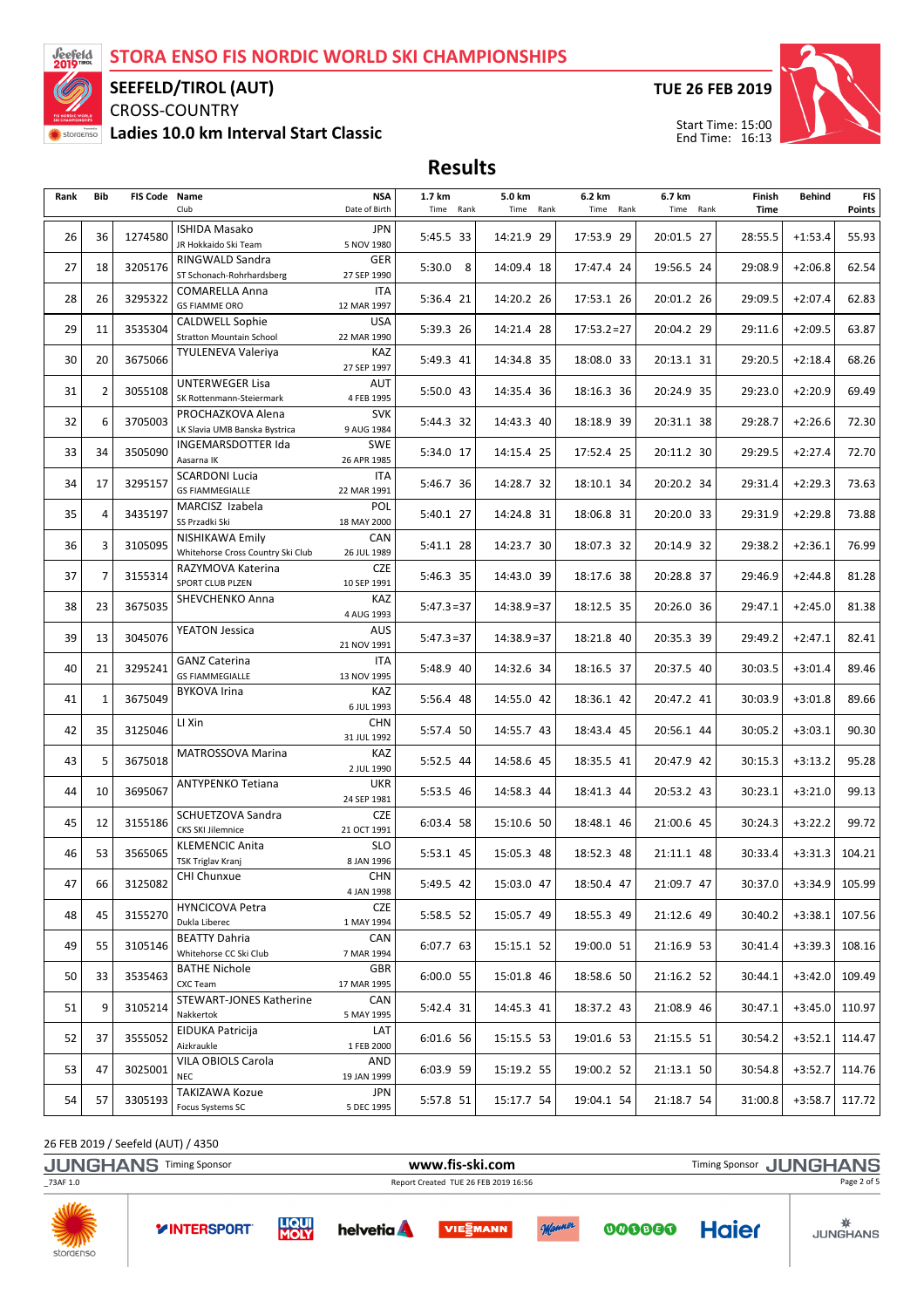

#### SEEFELD/TIROL (AUT)

CROSS-COUNTRY Ladies 10.0 km Interval Start Classic TUE 26 FEB 2019



Results

| Rank | Bib            | FIS Code Name | Club                                                      | <b>NSA</b><br>Date of Birth | 1.7 km<br>Time Rank | 5.0 km<br>Time Rank | 6.2 km<br>Time Rank | 6.7 km<br>Time Rank | Finish<br>Time | Behind    | <b>FIS</b><br><b>Points</b> |
|------|----------------|---------------|-----------------------------------------------------------|-----------------------------|---------------------|---------------------|---------------------|---------------------|----------------|-----------|-----------------------------|
| 26   | 36             | 1274580       | <b>ISHIDA Masako</b><br>JR Hokkaido Ski Team              | JPN<br>5 NOV 1980           | 5:45.5 33           | 14:21.9 29          | 17:53.9 29          | 20:01.5 27          | 28:55.5        | $+1:53.4$ | 55.93                       |
| 27   | 18             | 3205176       | RINGWALD Sandra<br>ST Schonach-Rohrhardsberg              | <b>GER</b><br>27 SEP 1990   | $5:30.0$ 8          | 14:09.4 18          | 17:47.4 24          | 19:56.5 24          | 29:08.9        | $+2:06.8$ | 62.54                       |
| 28   | 26             | 3295322       | COMARELLA Anna<br><b>GS FIAMME ORO</b>                    | ITA<br>12 MAR 1997          | 5:36.4 21           | 14:20.2 26          | 17:53.1 26          | 20:01.2 26          | 29:09.5        | $+2:07.4$ | 62.83                       |
| 29   | 11             | 3535304       | <b>CALDWELL Sophie</b><br><b>Stratton Mountain School</b> | <b>USA</b><br>22 MAR 1990   | 5:39.3 26           | 14:21.4 28          | $17:53.2=27$        | 20:04.2 29          | 29:11.6        | $+2:09.5$ | 63.87                       |
| 30   | 20             | 3675066       | <b>TYULENEVA Valeriya</b>                                 | KAZ<br>27 SEP 1997          | 5:49.3 41           | 14:34.8 35          | 18:08.0 33          | 20:13.1 31          | 29:20.5        | $+2:18.4$ | 68.26                       |
| 31   | 2              | 3055108       | <b>UNTERWEGER Lisa</b><br>SK Rottenmann-Steiermark        | AUT<br>4 FEB 1995           | 5:50.0 43           | 14:35.4 36          | 18:16.3 36          | 20:24.9 35          | 29:23.0        | $+2:20.9$ | 69.49                       |
| 32   | 6              | 3705003       | PROCHAZKOVA Alena<br>LK Slavia UMB Banska Bystrica        | <b>SVK</b><br>9 AUG 1984    | 5:44.3 32           | 14:43.3 40          | 18:18.9 39          | 20:31.1 38          | 29:28.7        | $+2:26.6$ | 72.30                       |
| 33   | 34             | 3505090       | INGEMARSDOTTER Ida<br>Aasarna IK                          | <b>SWE</b><br>26 APR 1985   | 5:34.0 17           | 14:15.4 25          | 17:52.4 25          | 20:11.2 30          | 29:29.5        | $+2:27.4$ | 72.70                       |
| 34   | 17             | 3295157       | <b>SCARDONI Lucia</b><br><b>GS FIAMMEGIALLE</b>           | ITA<br>22 MAR 1991          | 5:46.7 36           | 14:28.7 32          | 18:10.1 34          | 20:20.2 34          | 29:31.4        | $+2:29.3$ | 73.63                       |
| 35   | $\overline{4}$ | 3435197       | MARCISZ Izabela<br>SS Przadki Ski                         | POL<br>18 MAY 2000          | 5:40.1 27           | 14:24.8 31          | 18:06.8 31          | 20:20.0 33          | 29:31.9        | $+2:29.8$ | 73.88                       |
| 36   | 3              | 3105095       | NISHIKAWA Emily<br>Whitehorse Cross Country Ski Club      | CAN<br>26 JUL 1989          | 5:41.1 28           | 14:23.7 30          | 18:07.3 32          | 20:14.9 32          | 29:38.2        | $+2:36.1$ | 76.99                       |
| 37   | 7              | 3155314       | RAZYMOVA Katerina<br>SPORT CLUB PLZEN                     | <b>CZE</b><br>10 SEP 1991   | 5:46.3 35           | 14:43.0 39          | 18:17.6 38          | 20:28.8 37          | 29:46.9        | $+2:44.8$ | 81.28                       |
| 38   | 23             | 3675035       | SHEVCHENKO Anna                                           | KAZ<br>4 AUG 1993           | $5:47.3=37$         | $14:38.9=37$        | 18:12.5 35          | 20:26.0 36          | 29:47.1        | $+2:45.0$ | 81.38                       |
| 39   | 13             | 3045076       | <b>YEATON Jessica</b>                                     | AUS<br>21 NOV 1991          | $5:47.3=37$         | $14:38.9=37$        | 18:21.8 40          | 20:35.3 39          | 29:49.2        | $+2:47.1$ | 82.41                       |
| 40   | 21             | 3295241       | <b>GANZ Caterina</b><br><b>GS FIAMMEGIALLE</b>            | ITA<br>13 NOV 1995          | 5:48.9 40           | 14:32.6 34          | 18:16.5 37          | 20:37.5 40          | 30:03.5        | $+3:01.4$ | 89.46                       |
| 41   | 1              | 3675049       | <b>BYKOVA Irina</b>                                       | KAZ<br>6 JUL 1993           | 5:56.4 48           | 14:55.0 42          | 18:36.1 42          | 20:47.2 41          | 30:03.9        | $+3:01.8$ | 89.66                       |
| 42   | 35             | 3125046       | LI Xin                                                    | <b>CHN</b><br>31 JUL 1992   | 5:57.4 50           | 14:55.7 43          | 18:43.4 45          | 20:56.1 44          | 30:05.2        | $+3:03.1$ | 90.30                       |
| 43   | 5              | 3675018       | MATROSSOVA Marina                                         | KAZ<br>2 JUL 1990           | 5:52.5 44           | 14:58.6 45          | 18:35.5 41          | 20:47.9 42          | 30:15.3        | $+3:13.2$ | 95.28                       |
| 44   | 10             | 3695067       | ANTYPENKO Tetiana                                         | <b>UKR</b><br>24 SEP 1981   | 5:53.5 46           | 14:58.3 44          | 18:41.3 44          | 20:53.2 43          | 30:23.1        | $+3:21.0$ | 99.13                       |
| 45   | 12             | 3155186       | SCHUETZOVA Sandra<br><b>CKS SKI Jilemnice</b>             | <b>CZE</b><br>21 OCT 1991   | 6:03.4 58           | 15:10.6 50          | 18:48.1 46          | 21:00.6 45          | 30:24.3        | $+3:22.2$ | 99.72                       |
| 46   | 53             | 3565065       | <b>KLEMENCIC Anita</b><br>TSK Triglav Kranj               | <b>SLO</b><br>8 JAN 1996    | 5:53.1 45           | 15:05.3 48          | 18:52.3 48          | 21:11.1 48          | 30:33.4        | $+3:31.3$ | 104.21                      |
| 47   | 66             | 3125082       | CHI Chunxue                                               | CHN<br>4 JAN 1998           | 5:49.5 42           | 15:03.0 47          | 18:50.4 47          | 21:09.7 47          | 30:37.0        | $+3:34.9$ | 105.99                      |
| 48   | 45             | 3155270       | <b>HYNCICOVA Petra</b><br>Dukla Liberec                   | <b>CZE</b><br>1 MAY 1994    | 5:58.5 52           | 15:05.7 49          | 18:55.3 49          | 21:12.6 49          | 30:40.2        | +3:38.1   | 107.56                      |
| 49   | 55             | 3105146       | <b>BEATTY Dahria</b><br>Whitehorse CC Ski Club            | CAN<br>7 MAR 1994           | 6:07.7 63           | 15:15.1 52          | 19:00.0 51          | 21:16.9 53          | 30:41.4        | $+3:39.3$ | 108.16                      |
| 50   | 33             | 3535463       | <b>BATHE Nichole</b><br>CXC Team                          | GBR<br>17 MAR 1995          | 6:00.0 55           | 15:01.8 46          | 18:58.6 50          | 21:16.2 52          | 30:44.1        | $+3:42.0$ | 109.49                      |
| 51   | 9              | 3105214       | STEWART-JONES Katherine<br>Nakkertok                      | CAN<br>5 MAY 1995           | 5:42.4 31           | 14:45.3 41          | 18:37.2 43          | 21:08.9 46          | 30:47.1        | $+3:45.0$ | 110.97                      |
| 52   | 37             | 3555052       | EIDUKA Patricija<br>Aizkraukle                            | LAT<br>1 FEB 2000           | 6:01.6 56           | 15:15.5 53          | 19:01.6 53          | 21:15.5 51          | 30:54.2        | $+3:52.1$ | 114.47                      |
| 53   | 47             | 3025001       | VILA OBIOLS Carola<br><b>NEC</b>                          | AND<br>19 JAN 1999          | 6:03.9 59           | 15:19.2 55          | 19:00.2 52          | 21:13.1 50          | 30:54.8        | +3:52.7   | 114.76                      |
| 54   | 57             | 3305193       | <b>TAKIZAWA Kozue</b><br>Focus Systems SC                 | JPN<br>5 DEC 1995           | 5:57.8 51           | 15:17.7 54          | 19:04.1 54          | 21:18.7 54          | 31:00.8        | $+3:58.7$ | 117.72                      |

26 FEB 2019 / Seefeld (AUT) / 4350

storaenso

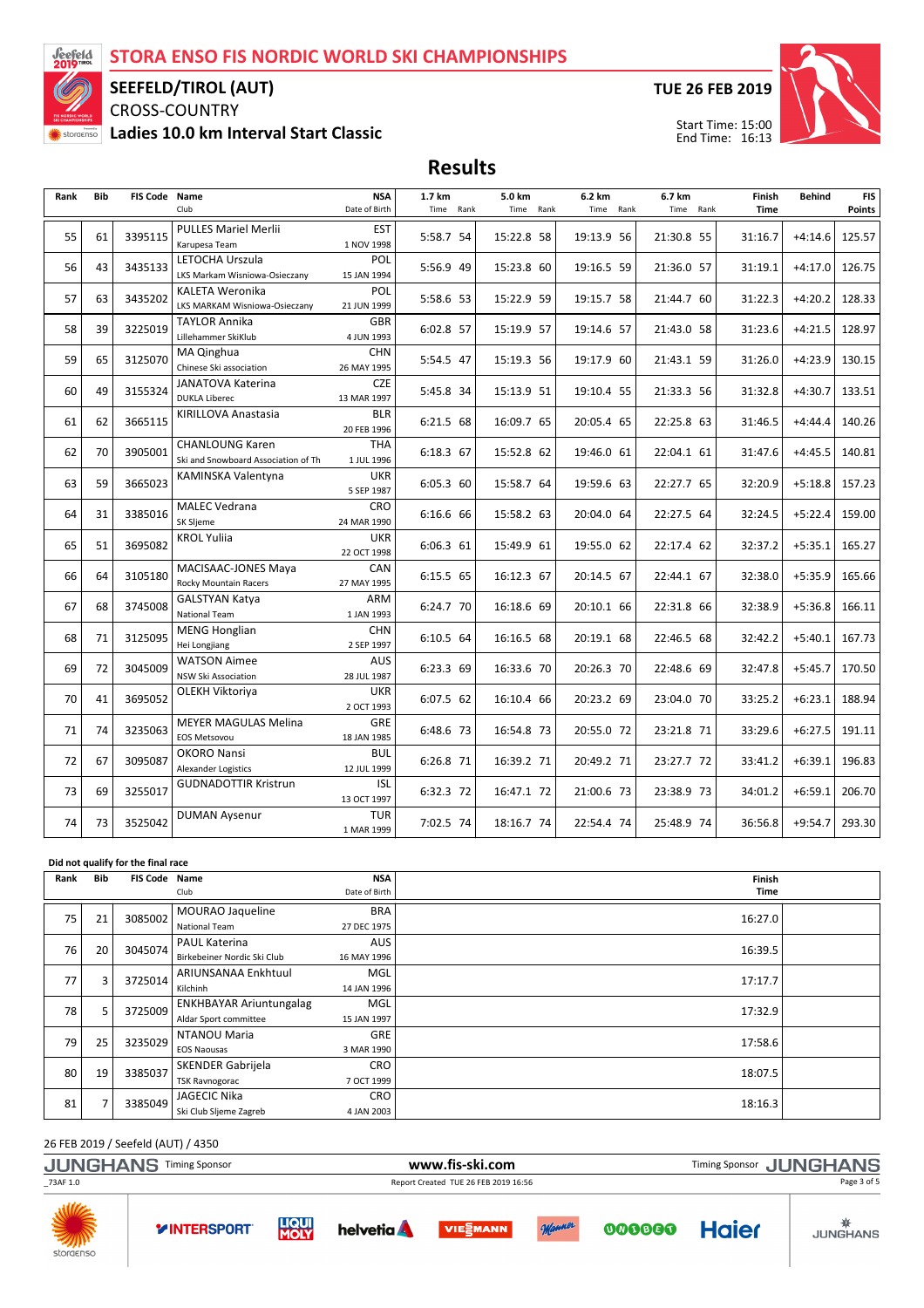

## SEEFELD/TIROL (AUT)

CROSS-COUNTRY Ladies 10.0 km Interval Start Classic TUE 26 FEB 2019



Start Time: 15:00 End Time: 16:13

Results

| Rank | <b>Bib</b> | FIS Code Name |                                      | <b>NSA</b>                | 1.7 km    | 5.0 km     | 6.2 km     | 6.7 km     | Finish      | <b>Behind</b> | <b>FIS</b> |
|------|------------|---------------|--------------------------------------|---------------------------|-----------|------------|------------|------------|-------------|---------------|------------|
|      |            |               | Club                                 | Date of Birth             | Time Rank | Time Rank  | Time Rank  | Time Rank  | <b>Time</b> |               | Points     |
| 55   | 61         | 3395115       | <b>PULLES Mariel Merlii</b>          | <b>EST</b>                | 5:58.7 54 |            | 19:13.9 56 |            |             |               | 125.57     |
|      |            |               | Karupesa Team                        | 1 NOV 1998                |           | 15:22.8 58 |            | 21:30.8 55 | 31:16.7     | $+4:14.6$     |            |
| 56   | 43         | 3435133       | LETOCHA Urszula                      | POL                       | 5:56.9 49 | 15:23.8 60 | 19:16.5 59 | 21:36.0 57 | 31:19.1     | $+4:17.0$     | 126.75     |
|      |            |               | LKS Markam Wisniowa-Osieczany        | 15 JAN 1994               |           |            |            |            |             |               |            |
| 57   | 63         | 3435202       | <b>KALETA Weronika</b>               | POL                       | 5:58.6 53 | 15:22.9 59 | 19:15.7 58 | 21:44.7 60 | 31:22.3     | $+4:20.2$     | 128.33     |
|      |            |               | LKS MARKAM Wisniowa-Osieczany        | 21 JUN 1999               |           |            |            |            |             |               |            |
| 58   | 39         | 3225019       | TAYLOR Annika<br>Lillehammer SkiKlub | <b>GBR</b><br>4 JUN 1993  | 6:02.8 57 | 15:19.9 57 | 19:14.6 57 | 21:43.0 58 | 31:23.6     | $+4:21.5$     | 128.97     |
|      |            |               | MA Qinghua                           | <b>CHN</b>                |           |            |            |            |             |               |            |
| 59   | 65         | 3125070       | Chinese Ski association              | 26 MAY 1995               | 5:54.5 47 | 15:19.3 56 | 19:17.9 60 | 21:43.1 59 | 31:26.0     | $+4:23.9$     | 130.15     |
|      |            |               | JANATOVA Katerina                    | <b>CZE</b>                |           |            |            |            |             |               |            |
| 60   | 49         | 3155324       | <b>DUKLA Liberec</b>                 | 13 MAR 1997               | 5:45.8 34 | 15:13.9 51 | 19:10.4 55 | 21:33.3 56 | 31:32.8     | $+4:30.7$     | 133.51     |
|      |            |               | KIRILLOVA Anastasia                  | <b>BLR</b>                |           |            |            |            |             |               |            |
| 61   | 62         | 3665115       |                                      | 20 FEB 1996               | 6:21.5 68 | 16:09.7 65 | 20:05.4 65 | 22:25.8 63 | 31:46.5     | $+4:44.4$     | 140.26     |
| 62   | 70         | 3905001       | <b>CHANLOUNG Karen</b>               | <b>THA</b>                | 6:18.3 67 | 15:52.8 62 | 19:46.0 61 | 22:04.1 61 | 31:47.6     | $+4:45.5$     | 140.81     |
|      |            |               | Ski and Snowboard Association of Th  | 1 JUL 1996                |           |            |            |            |             |               |            |
| 63   | 59         | 3665023       | KAMINSKA Valentyna                   | <b>UKR</b>                | 6:05.3 60 | 15:58.7 64 | 19:59.6 63 | 22:27.7 65 | 32:20.9     | $+5:18.8$     | 157.23     |
|      |            |               |                                      | 5 SEP 1987                |           |            |            |            |             |               |            |
| 64   | 31         | 3385016       | <b>MALEC Vedrana</b>                 | CRO                       | 6:16.6 66 | 15:58.2 63 | 20:04.0 64 | 22:27.5 64 | 32:24.5     | $+5:22.4$     | 159.00     |
|      |            |               | SK Sljeme                            | 24 MAR 1990               |           |            |            |            |             |               |            |
| 65   | 51         | 3695082       | <b>KROL Yuliia</b>                   | <b>UKR</b><br>22 OCT 1998 | 6:06.3 61 | 15:49.9 61 | 19:55.0 62 | 22:17.4 62 | 32:37.2     | $+5:35.1$     | 165.27     |
|      |            |               | MACISAAC-JONES Maya                  | CAN                       |           |            |            |            |             |               |            |
| 66   | 64         | 3105180       | Rocky Mountain Racers                | 27 MAY 1995               | 6:15.5 65 | 16:12.3 67 | 20:14.5 67 | 22:44.1 67 | 32:38.0     | $+5:35.9$     | 165.66     |
|      |            |               | <b>GALSTYAN Katya</b>                | ARM                       |           |            |            |            |             |               |            |
| 67   | 68         | 3745008       | <b>National Team</b>                 | 1 JAN 1993                | 6:24.7 70 | 16:18.6 69 | 20:10.1 66 | 22:31.8 66 | 32:38.9     | $+5:36.8$     | 166.11     |
|      |            |               | <b>MENG Honglian</b>                 | <b>CHN</b>                |           |            |            |            |             |               |            |
| 68   | 71         | 3125095       | Hei Longjiang                        | 2 SEP 1997                | 6:10.5 64 | 16:16.5 68 | 20:19.1 68 | 22:46.5 68 | 32:42.2     | $+5:40.1$     | 167.73     |
| 69   | 72         | 3045009       | <b>WATSON Aimee</b>                  | <b>AUS</b>                | 6:23.3 69 | 16:33.6 70 | 20:26.3 70 | 22:48.6 69 | 32:47.8     | $+5:45.7$     | 170.50     |
|      |            |               | <b>NSW Ski Association</b>           | 28 JUL 1987               |           |            |            |            |             |               |            |
| 70   | 41         | 3695052       | OLEKH Viktoriya                      | <b>UKR</b>                | 6:07.5 62 | 16:10.4 66 | 20:23.2 69 | 23:04.0 70 | 33:25.2     | $+6:23.1$     | 188.94     |
|      |            |               |                                      | 2 OCT 1993                |           |            |            |            |             |               |            |
| 71   | 74         | 3235063       | <b>MEYER MAGULAS Melina</b>          | GRE                       | 6:48.6 73 | 16:54.8 73 | 20:55.0 72 | 23:21.8 71 | 33:29.6     | $+6:27.5$     | 191.11     |
|      |            |               | <b>EOS Metsovou</b><br>OKORO Nansi   | 18 JAN 1985<br><b>BUL</b> |           |            |            |            |             |               |            |
| 72   | 67         | 3095087       | Alexander Logistics                  | 12 JUL 1999               | 6:26.8 71 | 16:39.2 71 | 20:49.2 71 | 23:27.7 72 | 33:41.2     | $+6:39.1$     | 196.83     |
|      |            |               | <b>GUDNADOTTIR Kristrun</b>          | <b>ISL</b>                |           |            |            |            |             |               |            |
| 73   | 69         | 3255017       |                                      | 13 OCT 1997               | 6:32.3 72 | 16:47.1 72 | 21:00.6 73 | 23:38.9 73 | 34:01.2     | $+6:59.1$     | 206.70     |
|      |            |               | <b>DUMAN Aysenur</b>                 | <b>TUR</b>                |           |            |            |            |             |               |            |
| 74   | 73         | 3525042       |                                      | 1 MAR 1999                | 7:02.5 74 | 18:16.7 74 | 22:54.4 74 | 25:48.9 74 | 36:56.8     | $+9:54.7$     | 293.30     |

#### Did not qualify for the final race

| Rank | Bib            | FIS Code Name |                                | <b>NSA</b>    | Finish  |  |
|------|----------------|---------------|--------------------------------|---------------|---------|--|
|      |                |               | Club                           | Date of Birth | Time    |  |
| 75   | 21             | 3085002       | MOURAO Jaqueline               | <b>BRA</b>    | 16:27.0 |  |
|      |                |               | National Team                  | 27 DEC 1975   |         |  |
| 76   | 20             | 3045074       | <b>PAUL Katerina</b>           | <b>AUS</b>    |         |  |
|      |                |               | Birkebeiner Nordic Ski Club    | 16 MAY 1996   | 16:39.5 |  |
| 77   |                | 3725014       | ARIUNSANAA Enkhtuul            | MGL           | 17:17.7 |  |
|      | 3              |               | Kilchinh                       | 14 JAN 1996   |         |  |
| 78   | 5              | 3725009       | <b>ENKHBAYAR Ariuntungalag</b> | MGL           | 17:32.9 |  |
|      |                |               | Aldar Sport committee          | 15 JAN 1997   |         |  |
| 79   | 25             | 3235029       | NTANOU Maria                   | <b>GRE</b>    | 17:58.6 |  |
|      |                |               | <b>EOS Naousas</b>             | 3 MAR 1990    |         |  |
| 80   | 19             | 3385037       | <b>SKENDER Gabrijela</b>       | <b>CRO</b>    | 18:07.5 |  |
|      |                |               | <b>TSK Ravnogorac</b>          | 7 OCT 1999    |         |  |
|      | $\overline{7}$ |               | <b>JAGECIC Nika</b>            | <b>CRO</b>    |         |  |
|      | 81             | 3385049       | Ski Club Sljeme Zagreb         | 4 JAN 2003    | 18:16.3 |  |

26 FEB 2019 / Seefeld (AUT) / 4350

|                           | <b>JUNGHANS Timing Sponsor</b> | www.fis-ski.com      |                 |                                      |        |        |              | <b>Timing Sponsor JUNGHANS</b> |  |  |
|---------------------------|--------------------------------|----------------------|-----------------|--------------------------------------|--------|--------|--------------|--------------------------------|--|--|
| $-73AF$ 1.0               |                                |                      |                 | Report Created TUE 26 FEB 2019 16:56 |        |        |              | Page 3 of 5                    |  |  |
| <b>SANTA</b><br>storaenso | <b>YINTERSPORT</b>             | <b>LIQUI</b><br>MOLY | <b>helvetia</b> | <b>VIESMANN</b>                      | Manner | 000000 | <b>Haier</b> | <b>JUNGHANS</b>                |  |  |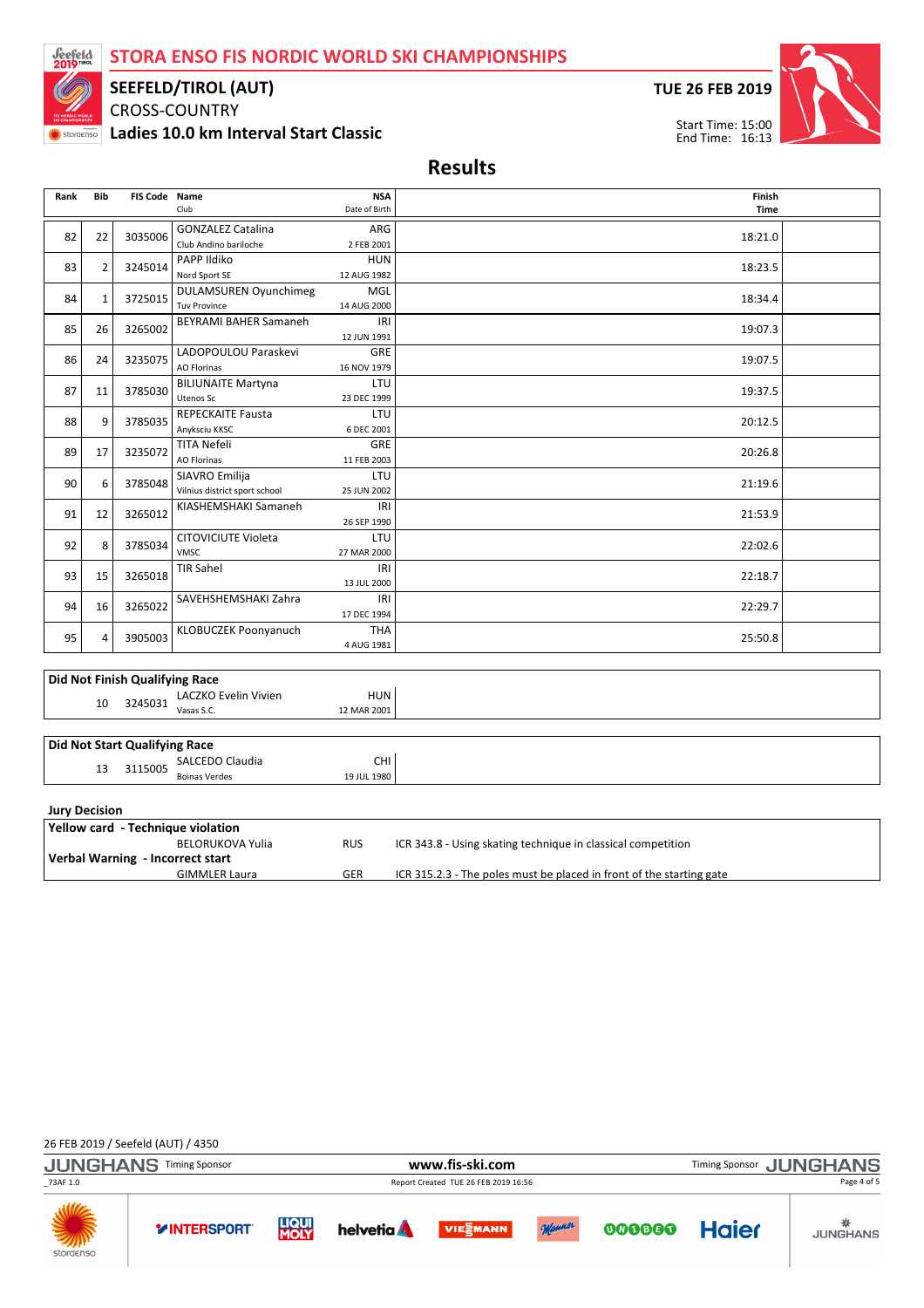## STORA ENSO FIS NORDIC WORLD SKI CHAMPIONSHIPS



#### SEEFELD/TIROL (AUT)

CROSS-COUNTRY Ladies 10.0 km Interval Start Classic TUE 26 FEB 2019



Results

| Rank                 | <b>Bib</b>     | <b>FIS Code Name</b>                  | Club                                     | <b>NSA</b><br>Finish<br>Date of Birth<br><b>Time</b> |                                                                      |  |  |  |
|----------------------|----------------|---------------------------------------|------------------------------------------|------------------------------------------------------|----------------------------------------------------------------------|--|--|--|
|                      |                |                                       | <b>GONZALEZ Catalina</b>                 | ARG                                                  |                                                                      |  |  |  |
| 82                   | 22             | 3035006                               | Club Andino bariloche                    | 2 FEB 2001                                           | 18:21.0                                                              |  |  |  |
| 83                   | $\overline{2}$ | 3245014                               | PAPP Ildiko                              | <b>HUN</b>                                           | 18:23.5                                                              |  |  |  |
|                      |                |                                       | Nord Sport SE                            | 12 AUG 1982                                          |                                                                      |  |  |  |
| 84                   | $\mathbf{1}$   | 3725015                               | <b>DULAMSUREN Oyunchimeg</b>             | MGL                                                  | 18:34.4                                                              |  |  |  |
|                      |                |                                       | <b>Tuv Province</b>                      | 14 AUG 2000                                          |                                                                      |  |  |  |
| 85                   | 26             | 3265002                               | <b>BEYRAMI BAHER Samaneh</b>             | IRI<br>12 JUN 1991                                   | 19:07.3                                                              |  |  |  |
| 86                   | 24             | 3235075                               | LADOPOULOU Paraskevi                     | GRE                                                  | 19:07.5                                                              |  |  |  |
|                      |                |                                       | <b>AO Florinas</b>                       | 16 NOV 1979                                          |                                                                      |  |  |  |
| 87                   | 11             | 3785030                               | <b>BILIUNAITE Martyna</b>                | LTU                                                  | 19:37.5                                                              |  |  |  |
|                      |                |                                       | <b>Utenos Sc</b>                         | 23 DEC 1999                                          |                                                                      |  |  |  |
| 88                   | 9              | 3785035                               | <b>REPECKAITE Fausta</b>                 | LTU                                                  | 20:12.5                                                              |  |  |  |
|                      |                |                                       | Anyksciu KKSC                            | 6 DEC 2001                                           |                                                                      |  |  |  |
| 89                   | 17             | 3235072                               | <b>TITA Nefeli</b><br><b>AO Florinas</b> | GRE<br>11 FEB 2003                                   | 20:26.8                                                              |  |  |  |
|                      |                |                                       | SIAVRO Emilija                           | LTU                                                  |                                                                      |  |  |  |
| 90                   | 6              | 3785048                               | Vilnius district sport school            | 25 JUN 2002                                          | 21:19.6                                                              |  |  |  |
|                      |                |                                       | KIASHEMSHAKI Samaneh                     | IRI                                                  |                                                                      |  |  |  |
| 91                   | 12             | 3265012                               |                                          | 26 SEP 1990                                          | 21:53.9                                                              |  |  |  |
|                      |                |                                       | CITOVICIUTE Violeta                      | LTU                                                  |                                                                      |  |  |  |
| 92                   | 8              | 3785034                               | <b>VMSC</b>                              | 27 MAR 2000                                          | 22:02.6                                                              |  |  |  |
| 93                   | 15             | 3265018                               | TIR Sahel                                | IRI                                                  | 22:18.7                                                              |  |  |  |
|                      |                |                                       |                                          | 13 JUL 2000                                          |                                                                      |  |  |  |
| 94                   | 16             | 3265022                               | SAVEHSHEMSHAKI Zahra                     | IRI                                                  | 22:29.7                                                              |  |  |  |
|                      |                |                                       |                                          | 17 DEC 1994                                          |                                                                      |  |  |  |
| 95                   | 4              | 3905003                               | KLOBUCZEK Poonyanuch                     | <b>THA</b>                                           | 25:50.8                                                              |  |  |  |
|                      |                |                                       |                                          | 4 AUG 1981                                           |                                                                      |  |  |  |
|                      |                |                                       |                                          |                                                      |                                                                      |  |  |  |
|                      |                | <b>Did Not Finish Qualifying Race</b> |                                          |                                                      |                                                                      |  |  |  |
|                      | 10             | 3245031                               | LACZKO Evelin Vivien<br>Vasas S.C.       | <b>HUN</b>                                           |                                                                      |  |  |  |
|                      |                |                                       |                                          | 12 MAR 2001                                          |                                                                      |  |  |  |
|                      |                |                                       |                                          |                                                      |                                                                      |  |  |  |
|                      |                | <b>Did Not Start Qualifying Race</b>  | SALCEDO Claudia                          | CHI                                                  |                                                                      |  |  |  |
|                      | 13             | 3115005                               | <b>Boinas Verdes</b>                     | 19 JUL 1980                                          |                                                                      |  |  |  |
|                      |                |                                       |                                          |                                                      |                                                                      |  |  |  |
| <b>Jury Decision</b> |                |                                       |                                          |                                                      |                                                                      |  |  |  |
|                      |                |                                       | Yellow card - Technique violation        |                                                      |                                                                      |  |  |  |
|                      |                |                                       | <b>BELORUKOVA Yulia</b>                  | <b>RUS</b>                                           | ICR 343.8 - Using skating technique in classical competition         |  |  |  |
|                      |                |                                       | Verbal Warning - Incorrect start         |                                                      |                                                                      |  |  |  |
|                      |                |                                       | <b>GIMMLER Laura</b>                     | <b>GER</b>                                           | ICR 315.2.3 - The poles must be placed in front of the starting gate |  |  |  |

#### 26 FEB 2019 / Seefeld (AUT) / 4350